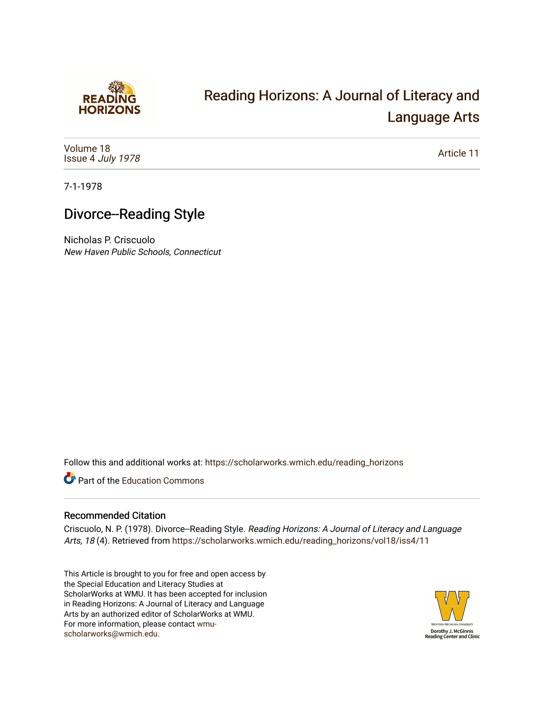

# [Reading Horizons: A Journal of Literacy and](https://scholarworks.wmich.edu/reading_horizons)  [Language Arts](https://scholarworks.wmich.edu/reading_horizons)

[Volume 18](https://scholarworks.wmich.edu/reading_horizons/vol18) Issue 4 [July 1978](https://scholarworks.wmich.edu/reading_horizons/vol18/iss4)

[Article 11](https://scholarworks.wmich.edu/reading_horizons/vol18/iss4/11) 

7-1-1978

## Divorce--Reading Style

Nicholas P. Criscuolo New Haven Public Schools, Connecticut

Follow this and additional works at: [https://scholarworks.wmich.edu/reading\\_horizons](https://scholarworks.wmich.edu/reading_horizons?utm_source=scholarworks.wmich.edu%2Freading_horizons%2Fvol18%2Fiss4%2F11&utm_medium=PDF&utm_campaign=PDFCoverPages)

Part of the [Education Commons](http://network.bepress.com/hgg/discipline/784?utm_source=scholarworks.wmich.edu%2Freading_horizons%2Fvol18%2Fiss4%2F11&utm_medium=PDF&utm_campaign=PDFCoverPages)

#### Recommended Citation

Criscuolo, N. P. (1978). Divorce--Reading Style. Reading Horizons: A Journal of Literacy and Language Arts, 18 (4). Retrieved from [https://scholarworks.wmich.edu/reading\\_horizons/vol18/iss4/11](https://scholarworks.wmich.edu/reading_horizons/vol18/iss4/11?utm_source=scholarworks.wmich.edu%2Freading_horizons%2Fvol18%2Fiss4%2F11&utm_medium=PDF&utm_campaign=PDFCoverPages) 

This Article is brought to you for free and open access by the Special Education and Literacy Studies at ScholarWorks at WMU. It has been accepted for inclusion in Reading Horizons: A Journal of Literacy and Language Arts by an authorized editor of ScholarWorks at WMU. For more information, please contact [wmu](mailto:wmu-scholarworks@wmich.edu)[scholarworks@wmich.edu.](mailto:wmu-scholarworks@wmich.edu)

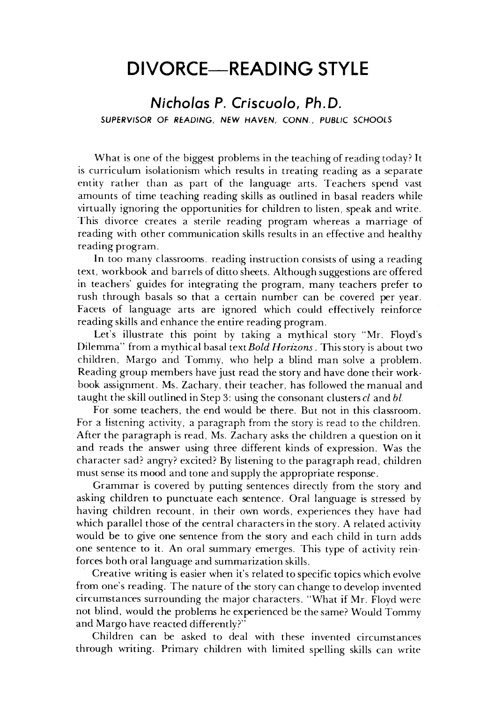### *DIVORCE—READING STYLE* **DIVORCE-READING STYLE**

#### *Nicholas P. Criscuolo, Ph.D. Nicholas* **P.** *Criscuolo, Ph.D. SUPERVISOR OF READING, NEW HAVEN, CONN., PUBLIC SCHOOLS* SUPERVISOR OF READING, NEW HAVEN, CONN., PUBLIC SCHOOLS

What is one of the biggest problems in the teaching of reading today? It What is one of the biggest problems in the teaching of reading today? It is curriculum isolationism which results in treating reading as a separate is curriculum isolationism which results in treating reading as a separate entity rather than as part of the language arts. Teachers spend vast amounts of time teaching reading skills as outlined in basal readers while amounts of time teaching reading skills as outlined in basal readers while virtually ignoring the opportunities for children to listen, speak and write. virtually ignoring the opportunities for children to listen, speak and write. This divorce creates a sterile reading program whereas a marriage of This divorce creates a sterile reading program whereas a marriage of reading with other communication skills results in an effective and healthy reading with other communication skills results in an effective and healthy reading program. reading program.

In too many classrooms, reading instruction consists of using a reading text, workbook and barrels of ditto sheets. Although suggestions are offered text, workbook and barrels of ditto sheets. Although are offered in teachers' guides for integrating the program, many teachers prefer to in teachers' guides for integrating the program, many teachers prefer to rush through basals so that a certain number can be covered per year. rush through basals so that a certain number can be covered per year. Facets of language arts are ignored which could effectively reinforce Facets of language arts are ignored which could effectively reinforce reading skills and enhance the entire reading program. reading skills and enhance the entire reading program.

Let's illustrate this point by taking a mythical story "Mr. Floyd's Let's illustrate this point by taking a mythical story "Mr. Floyd's Dilemma" from a mythical basal text**BoldHorizons** . This story is about two Dilemma" from a mythical basal *textBold Horizons.* This story is about two children, Margo and Tommy, who help a blind man solve a problem. children, Margo and Tommy, who help a blind man solve a problem. Reading group members have just read the story and have done their work Reading group members have just read the story and have done their workbook assignment. Ms. Zachary, their teacher, has followed the manual and book assignment. Ms. Zachary, their teacher, has followed the manual and taught the skill outlined in Step 3: using the consonant clusters  $cl$  and  $bl$ 

For some teachers, the end would be there. But not in this classroom. For some teachers, the end would be there. But not in this classroom. For a listening activity, a paragraph from the story is read to the children. After the paragraph is read, Ms. Zachary asks the children a question on it After the paragraph is read, Ms. Zachary asks the children a question on it and reads the answer using three different kinds of expression. Was the and reads the answer using three different kinds of expression. Was the character sad? angry? excited? By listening to the paragraph read, children character sad? angry? excited? By listening the paragraph read, children must sense its mood and tone and supply the appropriate response. sense its mood tone and supply the appropriate response.

Grammar is covered by putting sentences directly from the story and Grammar is covered by putting sentences directly from the story and asking children to punctuate each sentence. Oral language is stressed by asking children to punctuate each sentence. Oral language is stressed by having children recount, in their own words, experiences they have had having children recount, in their own words, experiences they have had which parallel those of the central characters in the story. A related activity would be to give one sentence from the story and each child in turn adds would be to give one sentence from the story and each child in turn adds one sentence to it. An oral summary emerges. This type of activity reinforces both oral language and summarization skills. forces both oral language and summarization skills.

Creative writing is easier when it's related to specific topics which evolve Creative writing is easier when it's related to specific topics which evolve from one's reading. The nature of the story can change to develop invented circumstances surrounding the major characters. "What if Mr. Floyd were circumstances surrounding the major characters. "What if Mr. Floyd were not blind, would the problems he experienced be the same? Would Tommy not blind, would the problems he experienced be the same? Would Tommy and Margo have reacted differently?" and Margo have reacted differently?"

Children can be asked to deal with these invented circumstances Children can be asked to deal with these invented circumstances through writing. Primary children with limited spelling skills can write through writing. Primary children with limited spelling skills can write